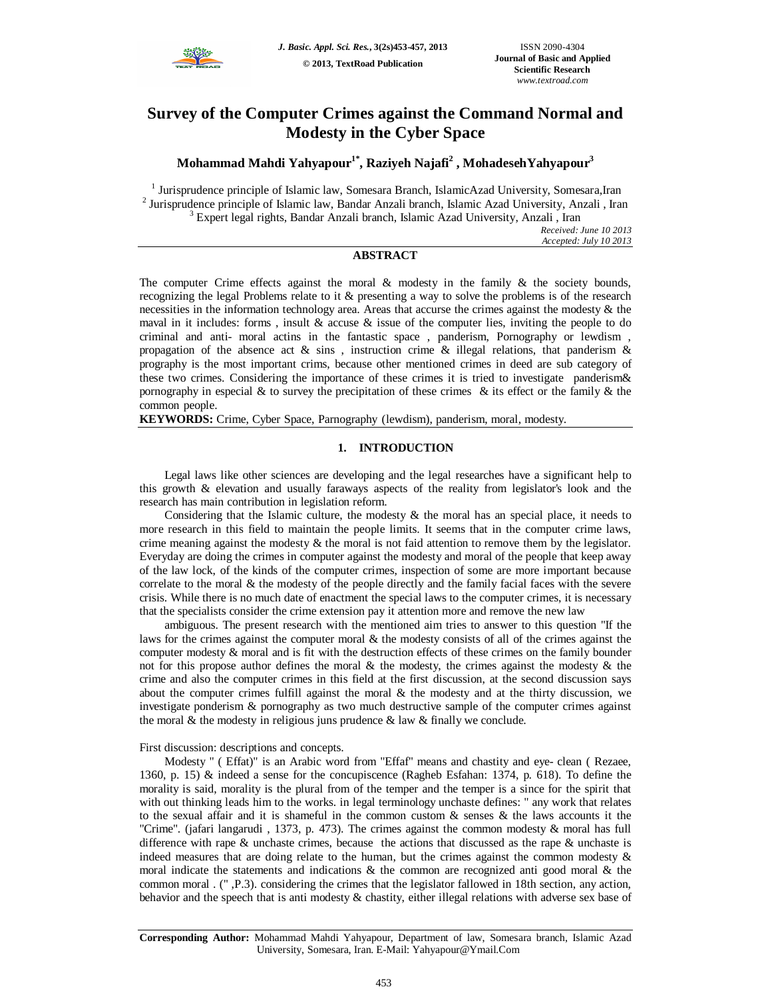

# **Survey of the Computer Crimes against the Command Normal and Modesty in the Cyber Space**

**Mohammad Mahdi Yahyapour1\* , Raziyeh Najafi<sup>2</sup> , MohadesehYahyapour<sup>3</sup>**

<sup>1</sup> Jurisprudence principle of Islamic law, Somesara Branch, IslamicAzad University, Somesara, Iran <sup>2</sup> Jurisprudence principle of Islamic law, Bandar Anzali branch, Islamic Azad University, Anzali, Iran <sup>3</sup> Expert legal rights, Bandar Anzali branch, Islamic Azad University, Anzali , Iran

*Received: June 10 2013 Accepted: July 10 2013*

## **ABSTRACT**

The computer Crime effects against the moral  $\&$  modesty in the family  $\&$  the society bounds, recognizing the legal Problems relate to it & presenting a way to solve the problems is of the research necessities in the information technology area. Areas that accurse the crimes against the modesty & the maval in it includes: forms, insult  $\&$  accuse  $\&$  issue of the computer lies, inviting the people to do criminal and anti- moral actins in the fantastic space , panderism, Pornography or lewdism , propagation of the absence act  $\&$  sins, instruction crime  $\&$  illegal relations, that panderism  $\&$ prography is the most important crims, because other mentioned crimes in deed are sub category of these two crimes. Considering the importance of these crimes it is tried to investigate panderism& pornography in especial  $\&$  to survey the precipitation of these crimes  $\&$  its effect or the family  $\&$  the common people.

**KEYWORDS:** Crime, Cyber Space, Parnography (lewdism), panderism, moral, modesty.

# **1. INTRODUCTION**

Legal laws like other sciences are developing and the legal researches have a significant help to this growth & elevation and usually faraways aspects of the reality from legislator's look and the research has main contribution in legislation reform.

Considering that the Islamic culture, the modesty & the moral has an special place, it needs to more research in this field to maintain the people limits. It seems that in the computer crime laws, crime meaning against the modesty  $\&$  the moral is not faid attention to remove them by the legislator. Everyday are doing the crimes in computer against the modesty and moral of the people that keep away of the law lock, of the kinds of the computer crimes, inspection of some are more important because correlate to the moral & the modesty of the people directly and the family facial faces with the severe crisis. While there is no much date of enactment the special laws to the computer crimes, it is necessary that the specialists consider the crime extension pay it attention more and remove the new law

ambiguous. The present research with the mentioned aim tries to answer to this question "If the laws for the crimes against the computer moral & the modesty consists of all of the crimes against the computer modesty & moral and is fit with the destruction effects of these crimes on the family bounder not for this propose author defines the moral  $\&$  the modesty, the crimes against the modesty  $\&$  the crime and also the computer crimes in this field at the first discussion, at the second discussion says about the computer crimes fulfill against the moral  $\&$  the modesty and at the thirty discussion, we investigate ponderism & pornography as two much destructive sample of the computer crimes against the moral  $\&$  the modesty in religious juns prudence  $\&$  law  $\&$  finally we conclude.

## First discussion: descriptions and concepts.

Modesty " ( Effat)" is an Arabic word from "Effaf" means and chastity and eye- clean ( Rezaee, 1360, p. 15) & indeed a sense for the concupiscence (Ragheb Esfahan: 1374, p. 618). To define the morality is said, morality is the plural from of the temper and the temper is a since for the spirit that with out thinking leads him to the works. in legal terminology unchaste defines: " any work that relates to the sexual affair and it is shameful in the common custom & senses & the laws accounts it the "Crime". (jafari langarudi , 1373, p. 473). The crimes against the common modesty & moral has full difference with rape & unchaste crimes, because the actions that discussed as the rape & unchaste is indeed measures that are doing relate to the human, but the crimes against the common modesty  $\&$ moral indicate the statements and indications & the common are recognized anti good moral & the common moral . (" ,P.3). considering the crimes that the legislator fallowed in 18th section, any action, behavior and the speech that is anti modesty & chastity, either illegal relations with adverse sex base of

**Corresponding Author:** Mohammad Mahdi Yahyapour, Department of law, Somesara branch, Islamic Azad University, Somesara, Iran. E-Mail: Yahyapour@Ymail.Com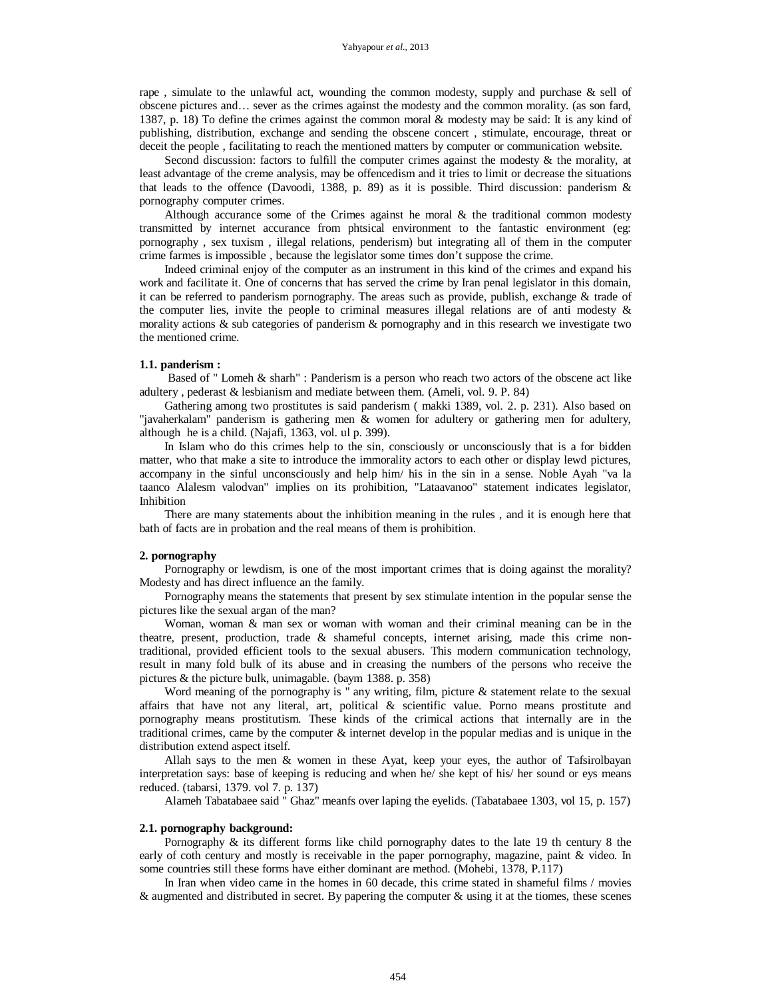#### Yahyapour *et al.,* 2013

rape, simulate to the unlawful act, wounding the common modesty, supply and purchase  $\&$  sell of obscene pictures and… sever as the crimes against the modesty and the common morality. (as son fard, 1387, p. 18) To define the crimes against the common moral & modesty may be said: It is any kind of publishing, distribution, exchange and sending the obscene concert , stimulate, encourage, threat or deceit the people , facilitating to reach the mentioned matters by computer or communication website.

Second discussion: factors to fulfill the computer crimes against the modesty  $\&$  the morality, at least advantage of the creme analysis, may be offencedism and it tries to limit or decrease the situations that leads to the offence (Davoodi, 1388, p. 89) as it is possible. Third discussion: panderism & pornography computer crimes.

Although accurance some of the Crimes against he moral  $\&$  the traditional common modesty transmitted by internet accurance from phtsical environment to the fantastic environment (eg: pornography , sex tuxism , illegal relations, penderism) but integrating all of them in the computer crime farmes is impossible , because the legislator some times don't suppose the crime.

Indeed criminal enjoy of the computer as an instrument in this kind of the crimes and expand his work and facilitate it. One of concerns that has served the crime by Iran penal legislator in this domain, it can be referred to panderism pornography. The areas such as provide, publish, exchange & trade of the computer lies, invite the people to criminal measures illegal relations are of anti modesty & morality actions & sub categories of panderism & pornography and in this research we investigate two the mentioned crime.

#### **1.1. panderism :**

Based of " Lomeh & sharh" : Panderism is a person who reach two actors of the obscene act like adultery , pederast & lesbianism and mediate between them. (Ameli, vol. 9. P. 84)

Gathering among two prostitutes is said panderism ( makki 1389, vol. 2. p. 231). Also based on "javaherkalam" panderism is gathering men & women for adultery or gathering men for adultery, although he is a child. (Najafi, 1363, vol. ul p. 399).

In Islam who do this crimes help to the sin, consciously or unconsciously that is a for bidden matter, who that make a site to introduce the immorality actors to each other or display lewd pictures, accompany in the sinful unconsciously and help him/ his in the sin in a sense. Noble Ayah "va la taanco Alalesm valodvan" implies on its prohibition, "Lataavanoo" statement indicates legislator, Inhibition

There are many statements about the inhibition meaning in the rules , and it is enough here that bath of facts are in probation and the real means of them is prohibition.

#### **2. pornography**

Pornography or lewdism, is one of the most important crimes that is doing against the morality? Modesty and has direct influence an the family.

Pornography means the statements that present by sex stimulate intention in the popular sense the pictures like the sexual argan of the man?

Woman, woman & man sex or woman with woman and their criminal meaning can be in the theatre, present, production, trade & shameful concepts, internet arising, made this crime nontraditional, provided efficient tools to the sexual abusers. This modern communication technology, result in many fold bulk of its abuse and in creasing the numbers of the persons who receive the pictures & the picture bulk, unimagable. (baym 1388. p. 358)

Word meaning of the pornography is " any writing, film, picture & statement relate to the sexual affairs that have not any literal, art, political & scientific value. Porno means prostitute and pornography means prostitutism. These kinds of the crimical actions that internally are in the traditional crimes, came by the computer & internet develop in the popular medias and is unique in the distribution extend aspect itself.

Allah says to the men & women in these Ayat, keep your eyes, the author of Tafsirolbayan interpretation says: base of keeping is reducing and when he/ she kept of his/ her sound or eys means reduced. (tabarsi, 1379. vol 7. p. 137)

Alameh Tabatabaee said " Ghaz" meanfs over laping the eyelids. (Tabatabaee 1303, vol 15, p. 157)

#### **2.1. pornography background:**

Pornography & its different forms like child pornography dates to the late 19 th century 8 the early of coth century and mostly is receivable in the paper pornography, magazine, paint & video. In some countries still these forms have either dominant are method. (Mohebi, 1378, P.117)

In Iran when video came in the homes in 60 decade, this crime stated in shameful films / movies & augmented and distributed in secret. By papering the computer & using it at the tiomes, these scenes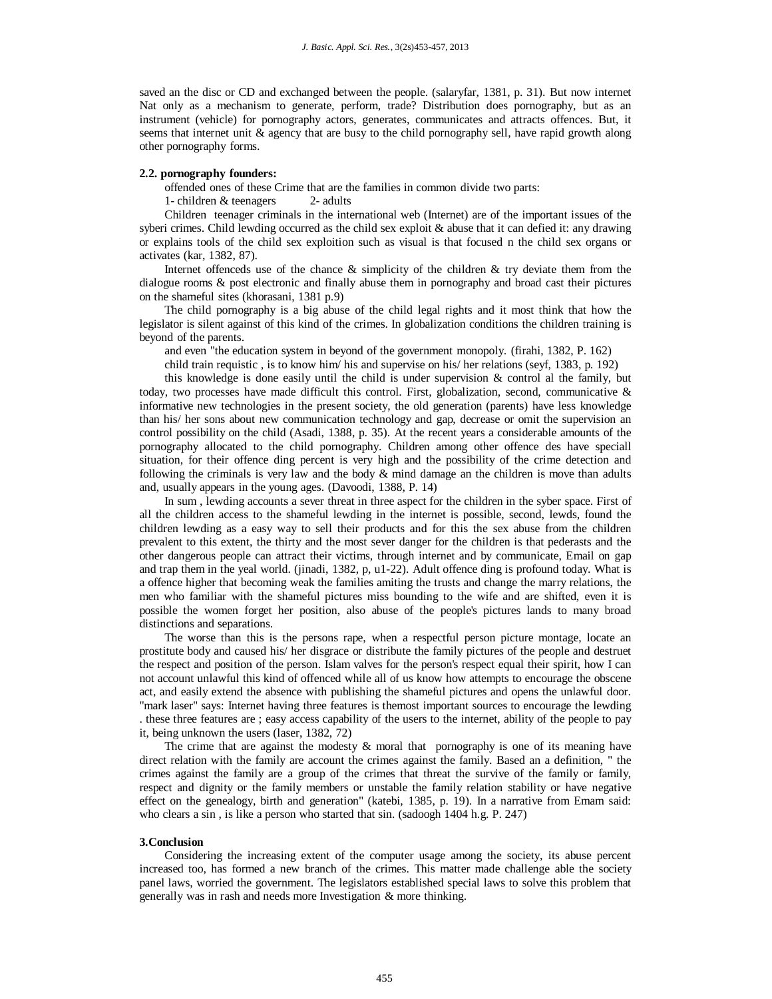saved an the disc or CD and exchanged between the people. (salaryfar, 1381, p. 31). But now internet Nat only as a mechanism to generate, perform, trade? Distribution does pornography, but as an instrument (vehicle) for pornography actors, generates, communicates and attracts offences. But, it seems that internet unit & agency that are busy to the child pornography sell, have rapid growth along other pornography forms.

## **2.2. pornography founders:**

offended ones of these Crime that are the families in common divide two parts:

1- children & teenagers 2- adults

Children teenager criminals in the international web (Internet) are of the important issues of the syberi crimes. Child lewding occurred as the child sex exploit  $\&$  abuse that it can defied it: any drawing or explains tools of the child sex exploition such as visual is that focused n the child sex organs or activates (kar, 1382, 87).

Internet offenceds use of the chance  $\&$  simplicity of the children  $\&$  try deviate them from the dialogue rooms & post electronic and finally abuse them in pornography and broad cast their pictures on the shameful sites (khorasani, 1381 p.9)

The child pornography is a big abuse of the child legal rights and it most think that how the legislator is silent against of this kind of the crimes. In globalization conditions the children training is beyond of the parents.

and even "the education system in beyond of the government monopoly. (firahi, 1382, P. 162)

child train requistic , is to know him/ his and supervise on his/ her relations (seyf, 1383, p. 192)

this knowledge is done easily until the child is under supervision  $\&$  control al the family, but today, two processes have made difficult this control. First, globalization, second, communicative  $\&$ informative new technologies in the present society, the old generation (parents) have less knowledge than his/ her sons about new communication technology and gap, decrease or omit the supervision an control possibility on the child (Asadi, 1388, p. 35). At the recent years a considerable amounts of the pornography allocated to the child pornography. Children among other offence des have speciall situation, for their offence ding percent is very high and the possibility of the crime detection and following the criminals is very law and the body  $\&$  mind damage an the children is move than adults and, usually appears in the young ages. (Davoodi, 1388, P. 14)

In sum , lewding accounts a sever threat in three aspect for the children in the syber space. First of all the children access to the shameful lewding in the internet is possible, second, lewds, found the children lewding as a easy way to sell their products and for this the sex abuse from the children prevalent to this extent, the thirty and the most sever danger for the children is that pederasts and the other dangerous people can attract their victims, through internet and by communicate, Email on gap and trap them in the yeal world. (jinadi, 1382, p, u1-22). Adult offence ding is profound today. What is a offence higher that becoming weak the families amiting the trusts and change the marry relations, the men who familiar with the shameful pictures miss bounding to the wife and are shifted, even it is possible the women forget her position, also abuse of the people's pictures lands to many broad distinctions and separations.

The worse than this is the persons rape, when a respectful person picture montage, locate an prostitute body and caused his/ her disgrace or distribute the family pictures of the people and destruet the respect and position of the person. Islam valves for the person's respect equal their spirit, how I can not account unlawful this kind of offenced while all of us know how attempts to encourage the obscene act, and easily extend the absence with publishing the shameful pictures and opens the unlawful door. "mark laser" says: Internet having three features is themost important sources to encourage the lewding . these three features are ; easy access capability of the users to the internet, ability of the people to pay it, being unknown the users (laser, 1382, 72)

The crime that are against the modesty  $\&$  moral that pornography is one of its meaning have direct relation with the family are account the crimes against the family. Based an a definition, " the crimes against the family are a group of the crimes that threat the survive of the family or family, respect and dignity or the family members or unstable the family relation stability or have negative effect on the genealogy, birth and generation" (katebi, 1385, p. 19). In a narrative from Emam said: who clears a sin , is like a person who started that sin. (sadoogh 1404 h.g. P. 247)

#### **3.Conclusion**

Considering the increasing extent of the computer usage among the society, its abuse percent increased too, has formed a new branch of the crimes. This matter made challenge able the society panel laws, worried the government. The legislators established special laws to solve this problem that generally was in rash and needs more Investigation & more thinking.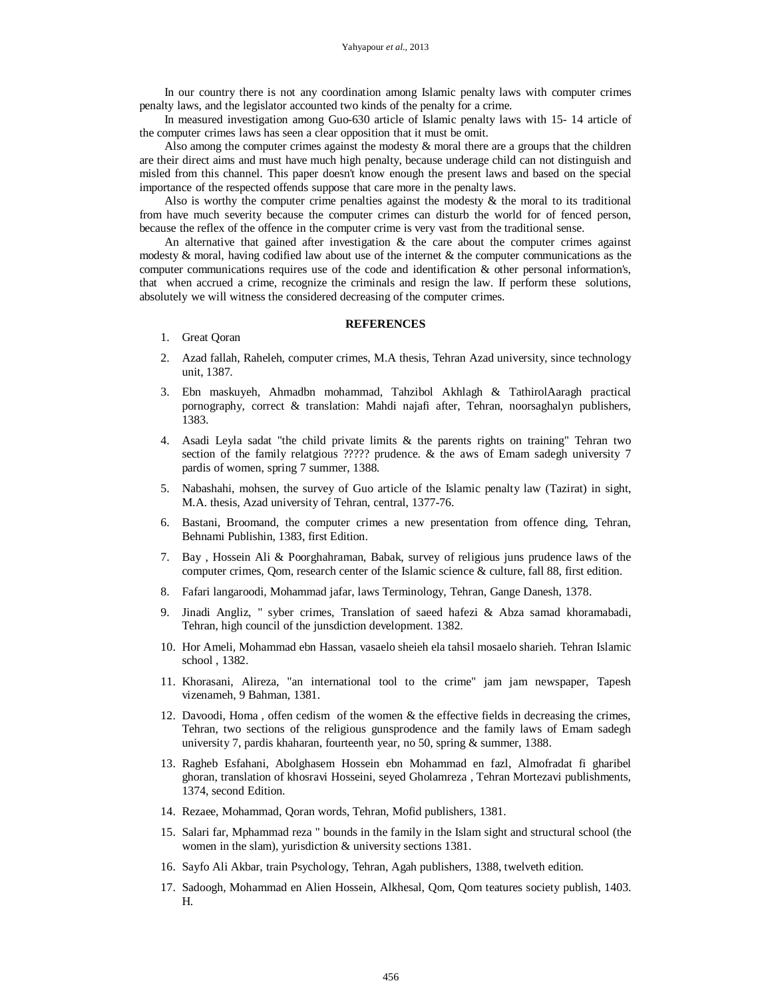In our country there is not any coordination among Islamic penalty laws with computer crimes penalty laws, and the legislator accounted two kinds of the penalty for a crime.

In measured investigation among Guo-630 article of Islamic penalty laws with 15- 14 article of the computer crimes laws has seen a clear opposition that it must be omit.

Also among the computer crimes against the modesty & moral there are a groups that the children are their direct aims and must have much high penalty, because underage child can not distinguish and misled from this channel. This paper doesn't know enough the present laws and based on the special importance of the respected offends suppose that care more in the penalty laws.

Also is worthy the computer crime penalties against the modesty  $\&$  the moral to its traditional from have much severity because the computer crimes can disturb the world for of fenced person, because the reflex of the offence in the computer crime is very vast from the traditional sense.

An alternative that gained after investigation  $\&$  the care about the computer crimes against modesty  $\&$  moral, having codified law about use of the internet  $\&$  the computer communications as the computer communications requires use of the code and identification & other personal information's, that when accrued a crime, recognize the criminals and resign the law. If perform these solutions, absolutely we will witness the considered decreasing of the computer crimes.

### **REFERENCES**

- 1. Great Qoran
- 2. Azad fallah, Raheleh, computer crimes, M.A thesis, Tehran Azad university, since technology unit, 1387.
- 3. Ebn maskuyeh, Ahmadbn mohammad, Tahzibol Akhlagh & TathirolAaragh practical pornography, correct & translation: Mahdi najafi after, Tehran, noorsaghalyn publishers, 1383.
- 4. Asadi Leyla sadat "the child private limits & the parents rights on training" Tehran two section of the family relatgious ????? prudence. & the aws of Emam sadegh university 7 pardis of women, spring 7 summer, 1388.
- 5. Nabashahi, mohsen, the survey of Guo article of the Islamic penalty law (Tazirat) in sight, M.A. thesis, Azad university of Tehran, central, 1377-76.
- 6. Bastani, Broomand, the computer crimes a new presentation from offence ding, Tehran, Behnami Publishin, 1383, first Edition.
- 7. Bay , Hossein Ali & Poorghahraman, Babak, survey of religious juns prudence laws of the computer crimes, Qom, research center of the Islamic science & culture, fall 88, first edition.
- 8. Fafari langaroodi, Mohammad jafar, laws Terminology, Tehran, Gange Danesh, 1378.
- 9. Jinadi Angliz, " syber crimes, Translation of saeed hafezi & Abza samad khoramabadi, Tehran, high council of the junsdiction development. 1382.
- 10. Hor Ameli, Mohammad ebn Hassan, vasaelo sheieh ela tahsil mosaelo sharieh. Tehran Islamic school , 1382.
- 11. Khorasani, Alireza, "an international tool to the crime" jam jam newspaper, Tapesh vizenameh, 9 Bahman, 1381.
- 12. Davoodi, Homa , offen cedism of the women & the effective fields in decreasing the crimes, Tehran, two sections of the religious gunsprodence and the family laws of Emam sadegh university 7, pardis khaharan, fourteenth year, no 50, spring & summer, 1388.
- 13. Ragheb Esfahani, Abolghasem Hossein ebn Mohammad en fazl, Almofradat fi gharibel ghoran, translation of khosravi Hosseini, seyed Gholamreza , Tehran Mortezavi publishments, 1374, second Edition.
- 14. Rezaee, Mohammad, Qoran words, Tehran, Mofid publishers, 1381.
- 15. Salari far, Mphammad reza " bounds in the family in the Islam sight and structural school (the women in the slam), yurisdiction & university sections 1381.
- 16. Sayfo Ali Akbar, train Psychology, Tehran, Agah publishers, 1388, twelveth edition.
- 17. Sadoogh, Mohammad en Alien Hossein, Alkhesal, Qom, Qom teatures society publish, 1403. H.